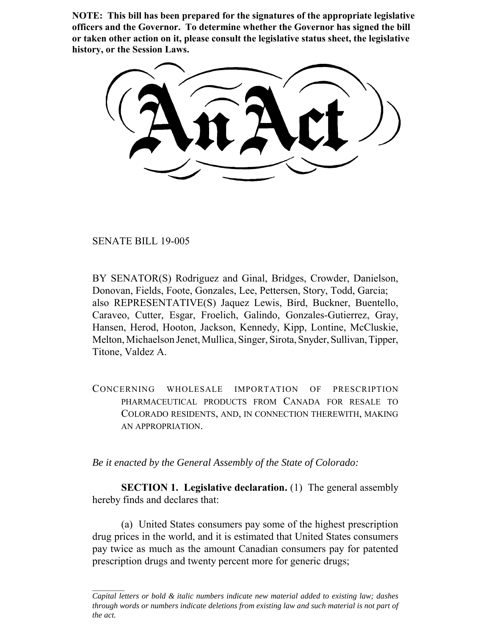**NOTE: This bill has been prepared for the signatures of the appropriate legislative officers and the Governor. To determine whether the Governor has signed the bill or taken other action on it, please consult the legislative status sheet, the legislative history, or the Session Laws.**

SENATE BILL 19-005

BY SENATOR(S) Rodriguez and Ginal, Bridges, Crowder, Danielson, Donovan, Fields, Foote, Gonzales, Lee, Pettersen, Story, Todd, Garcia; also REPRESENTATIVE(S) Jaquez Lewis, Bird, Buckner, Buentello, Caraveo, Cutter, Esgar, Froelich, Galindo, Gonzales-Gutierrez, Gray, Hansen, Herod, Hooton, Jackson, Kennedy, Kipp, Lontine, McCluskie, Melton, Michaelson Jenet, Mullica, Singer, Sirota, Snyder, Sullivan, Tipper, Titone, Valdez A.

CONCERNING WHOLESALE IMPORTATION OF PRESCRIPTION PHARMACEUTICAL PRODUCTS FROM CANADA FOR RESALE TO COLORADO RESIDENTS, AND, IN CONNECTION THEREWITH, MAKING AN APPROPRIATION.

*Be it enacted by the General Assembly of the State of Colorado:*

**SECTION 1. Legislative declaration.** (1) The general assembly hereby finds and declares that:

(a) United States consumers pay some of the highest prescription drug prices in the world, and it is estimated that United States consumers pay twice as much as the amount Canadian consumers pay for patented prescription drugs and twenty percent more for generic drugs;

*Capital letters or bold & italic numbers indicate new material added to existing law; dashes through words or numbers indicate deletions from existing law and such material is not part of the act.*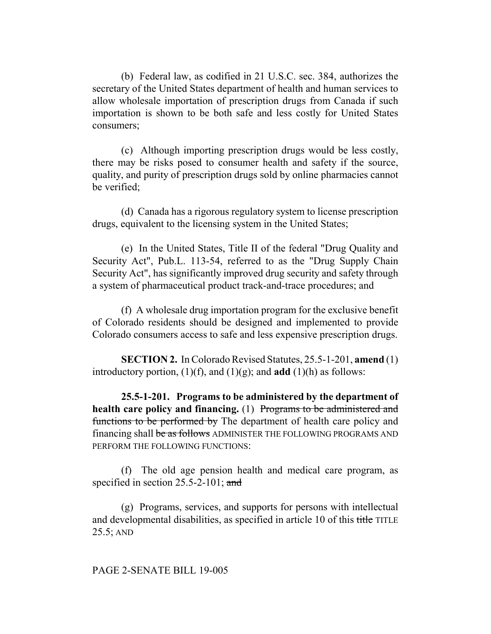(b) Federal law, as codified in 21 U.S.C. sec. 384, authorizes the secretary of the United States department of health and human services to allow wholesale importation of prescription drugs from Canada if such importation is shown to be both safe and less costly for United States consumers;

(c) Although importing prescription drugs would be less costly, there may be risks posed to consumer health and safety if the source, quality, and purity of prescription drugs sold by online pharmacies cannot be verified;

(d) Canada has a rigorous regulatory system to license prescription drugs, equivalent to the licensing system in the United States;

(e) In the United States, Title II of the federal "Drug Quality and Security Act", Pub.L. 113-54, referred to as the "Drug Supply Chain Security Act", has significantly improved drug security and safety through a system of pharmaceutical product track-and-trace procedures; and

(f) A wholesale drug importation program for the exclusive benefit of Colorado residents should be designed and implemented to provide Colorado consumers access to safe and less expensive prescription drugs.

**SECTION 2.** In Colorado Revised Statutes, 25.5-1-201, **amend** (1) introductory portion,  $(1)(f)$ , and  $(1)(g)$ ; and **add**  $(1)(h)$  as follows:

**25.5-1-201. Programs to be administered by the department of health care policy and financing.** (1) Programs to be administered and functions to be performed by The department of health care policy and financing shall be as follows ADMINISTER THE FOLLOWING PROGRAMS AND PERFORM THE FOLLOWING FUNCTIONS:

(f) The old age pension health and medical care program, as specified in section 25.5-2-101; and

(g) Programs, services, and supports for persons with intellectual and developmental disabilities, as specified in article 10 of this title TITLE 25.5; AND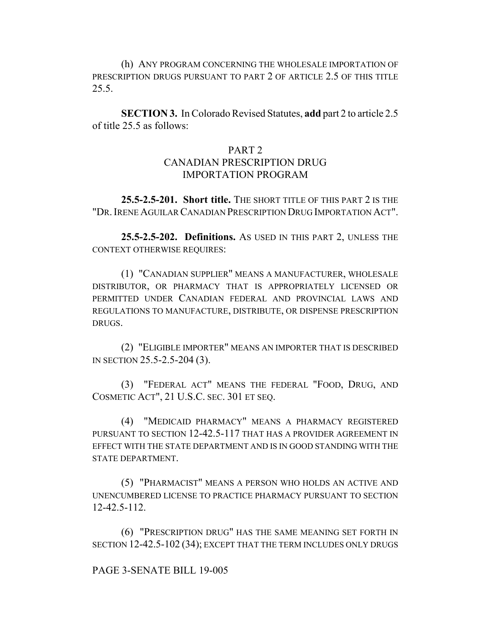(h) ANY PROGRAM CONCERNING THE WHOLESALE IMPORTATION OF PRESCRIPTION DRUGS PURSUANT TO PART 2 OF ARTICLE 2.5 OF THIS TITLE 25.5.

**SECTION 3.** In Colorado Revised Statutes, **add** part 2 to article 2.5 of title 25.5 as follows:

### PART 2

# CANADIAN PRESCRIPTION DRUG IMPORTATION PROGRAM

**25.5-2.5-201. Short title.** THE SHORT TITLE OF THIS PART 2 IS THE "DR.IRENE AGUILAR CANADIAN PRESCRIPTION DRUG IMPORTATION ACT".

**25.5-2.5-202. Definitions.** AS USED IN THIS PART 2, UNLESS THE CONTEXT OTHERWISE REQUIRES:

(1) "CANADIAN SUPPLIER" MEANS A MANUFACTURER, WHOLESALE DISTRIBUTOR, OR PHARMACY THAT IS APPROPRIATELY LICENSED OR PERMITTED UNDER CANADIAN FEDERAL AND PROVINCIAL LAWS AND REGULATIONS TO MANUFACTURE, DISTRIBUTE, OR DISPENSE PRESCRIPTION DRUGS.

(2) "ELIGIBLE IMPORTER" MEANS AN IMPORTER THAT IS DESCRIBED IN SECTION 25.5-2.5-204 (3).

(3) "FEDERAL ACT" MEANS THE FEDERAL "FOOD, DRUG, AND COSMETIC ACT", 21 U.S.C. SEC. 301 ET SEQ.

(4) "MEDICAID PHARMACY" MEANS A PHARMACY REGISTERED PURSUANT TO SECTION 12-42.5-117 THAT HAS A PROVIDER AGREEMENT IN EFFECT WITH THE STATE DEPARTMENT AND IS IN GOOD STANDING WITH THE STATE DEPARTMENT.

(5) "PHARMACIST" MEANS A PERSON WHO HOLDS AN ACTIVE AND UNENCUMBERED LICENSE TO PRACTICE PHARMACY PURSUANT TO SECTION 12-42.5-112.

(6) "PRESCRIPTION DRUG" HAS THE SAME MEANING SET FORTH IN SECTION 12-42.5-102 (34); EXCEPT THAT THE TERM INCLUDES ONLY DRUGS

#### PAGE 3-SENATE BILL 19-005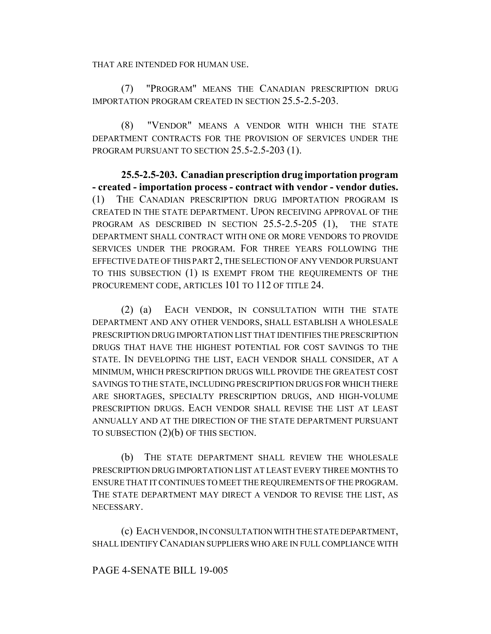THAT ARE INTENDED FOR HUMAN USE.

(7) "PROGRAM" MEANS THE CANADIAN PRESCRIPTION DRUG IMPORTATION PROGRAM CREATED IN SECTION 25.5-2.5-203.

(8) "VENDOR" MEANS A VENDOR WITH WHICH THE STATE DEPARTMENT CONTRACTS FOR THE PROVISION OF SERVICES UNDER THE PROGRAM PURSUANT TO SECTION 25.5-2.5-203 (1).

**25.5-2.5-203. Canadian prescription drug importation program - created - importation process - contract with vendor - vendor duties.** (1) THE CANADIAN PRESCRIPTION DRUG IMPORTATION PROGRAM IS CREATED IN THE STATE DEPARTMENT. UPON RECEIVING APPROVAL OF THE PROGRAM AS DESCRIBED IN SECTION 25.5-2.5-205 (1), THE STATE DEPARTMENT SHALL CONTRACT WITH ONE OR MORE VENDORS TO PROVIDE SERVICES UNDER THE PROGRAM. FOR THREE YEARS FOLLOWING THE EFFECTIVE DATE OF THIS PART 2, THE SELECTION OF ANY VENDOR PURSUANT TO THIS SUBSECTION (1) IS EXEMPT FROM THE REQUIREMENTS OF THE PROCUREMENT CODE, ARTICLES 101 TO 112 OF TITLE 24.

(2) (a) EACH VENDOR, IN CONSULTATION WITH THE STATE DEPARTMENT AND ANY OTHER VENDORS, SHALL ESTABLISH A WHOLESALE PRESCRIPTION DRUG IMPORTATION LIST THAT IDENTIFIES THE PRESCRIPTION DRUGS THAT HAVE THE HIGHEST POTENTIAL FOR COST SAVINGS TO THE STATE. IN DEVELOPING THE LIST, EACH VENDOR SHALL CONSIDER, AT A MINIMUM, WHICH PRESCRIPTION DRUGS WILL PROVIDE THE GREATEST COST SAVINGS TO THE STATE, INCLUDING PRESCRIPTION DRUGS FOR WHICH THERE ARE SHORTAGES, SPECIALTY PRESCRIPTION DRUGS, AND HIGH-VOLUME PRESCRIPTION DRUGS. EACH VENDOR SHALL REVISE THE LIST AT LEAST ANNUALLY AND AT THE DIRECTION OF THE STATE DEPARTMENT PURSUANT TO SUBSECTION (2)(b) OF THIS SECTION.

(b) THE STATE DEPARTMENT SHALL REVIEW THE WHOLESALE PRESCRIPTION DRUG IMPORTATION LIST AT LEAST EVERY THREE MONTHS TO ENSURE THAT IT CONTINUES TO MEET THE REQUIREMENTS OF THE PROGRAM. THE STATE DEPARTMENT MAY DIRECT A VENDOR TO REVISE THE LIST, AS NECESSARY.

(c) EACH VENDOR, IN CONSULTATION WITH THE STATE DEPARTMENT, SHALL IDENTIFY CANADIAN SUPPLIERS WHO ARE IN FULL COMPLIANCE WITH

## PAGE 4-SENATE BILL 19-005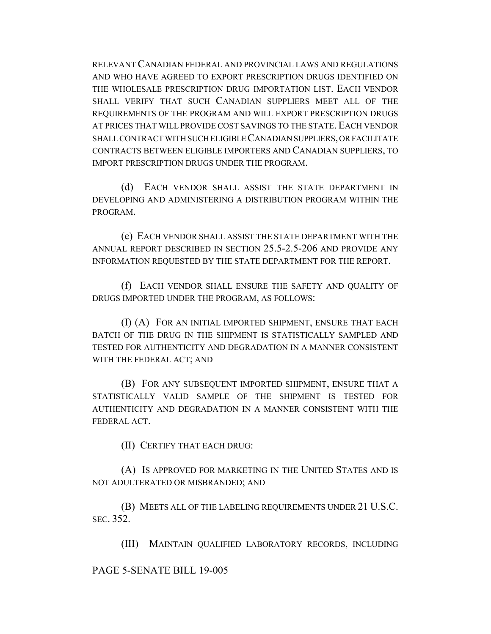RELEVANT CANADIAN FEDERAL AND PROVINCIAL LAWS AND REGULATIONS AND WHO HAVE AGREED TO EXPORT PRESCRIPTION DRUGS IDENTIFIED ON THE WHOLESALE PRESCRIPTION DRUG IMPORTATION LIST. EACH VENDOR SHALL VERIFY THAT SUCH CANADIAN SUPPLIERS MEET ALL OF THE REQUIREMENTS OF THE PROGRAM AND WILL EXPORT PRESCRIPTION DRUGS AT PRICES THAT WILL PROVIDE COST SAVINGS TO THE STATE. EACH VENDOR SHALL CONTRACT WITH SUCH ELIGIBLE CANADIAN SUPPLIERS, OR FACILITATE CONTRACTS BETWEEN ELIGIBLE IMPORTERS AND CANADIAN SUPPLIERS, TO IMPORT PRESCRIPTION DRUGS UNDER THE PROGRAM.

(d) EACH VENDOR SHALL ASSIST THE STATE DEPARTMENT IN DEVELOPING AND ADMINISTERING A DISTRIBUTION PROGRAM WITHIN THE PROGRAM.

(e) EACH VENDOR SHALL ASSIST THE STATE DEPARTMENT WITH THE ANNUAL REPORT DESCRIBED IN SECTION 25.5-2.5-206 AND PROVIDE ANY INFORMATION REQUESTED BY THE STATE DEPARTMENT FOR THE REPORT.

(f) EACH VENDOR SHALL ENSURE THE SAFETY AND QUALITY OF DRUGS IMPORTED UNDER THE PROGRAM, AS FOLLOWS:

(I) (A) FOR AN INITIAL IMPORTED SHIPMENT, ENSURE THAT EACH BATCH OF THE DRUG IN THE SHIPMENT IS STATISTICALLY SAMPLED AND TESTED FOR AUTHENTICITY AND DEGRADATION IN A MANNER CONSISTENT WITH THE FEDERAL ACT; AND

(B) FOR ANY SUBSEQUENT IMPORTED SHIPMENT, ENSURE THAT A STATISTICALLY VALID SAMPLE OF THE SHIPMENT IS TESTED FOR AUTHENTICITY AND DEGRADATION IN A MANNER CONSISTENT WITH THE FEDERAL ACT.

(II) CERTIFY THAT EACH DRUG:

(A) IS APPROVED FOR MARKETING IN THE UNITED STATES AND IS NOT ADULTERATED OR MISBRANDED; AND

(B) MEETS ALL OF THE LABELING REQUIREMENTS UNDER 21 U.S.C. SEC. 352.

(III) MAINTAIN QUALIFIED LABORATORY RECORDS, INCLUDING

#### PAGE 5-SENATE BILL 19-005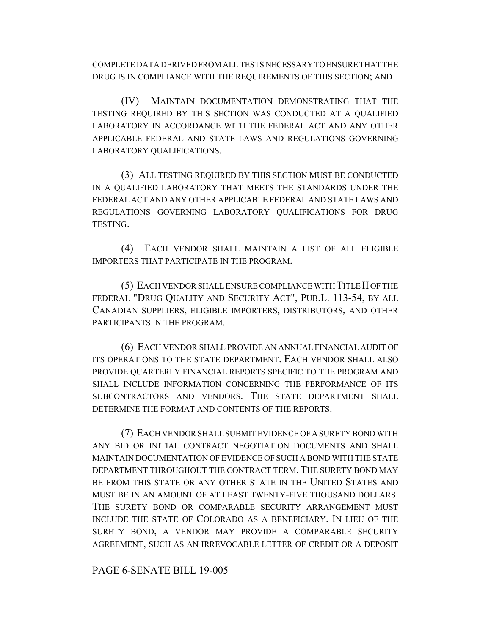COMPLETE DATA DERIVED FROM ALL TESTS NECESSARY TO ENSURE THAT THE DRUG IS IN COMPLIANCE WITH THE REQUIREMENTS OF THIS SECTION; AND

(IV) MAINTAIN DOCUMENTATION DEMONSTRATING THAT THE TESTING REQUIRED BY THIS SECTION WAS CONDUCTED AT A QUALIFIED LABORATORY IN ACCORDANCE WITH THE FEDERAL ACT AND ANY OTHER APPLICABLE FEDERAL AND STATE LAWS AND REGULATIONS GOVERNING LABORATORY QUALIFICATIONS.

(3) ALL TESTING REQUIRED BY THIS SECTION MUST BE CONDUCTED IN A QUALIFIED LABORATORY THAT MEETS THE STANDARDS UNDER THE FEDERAL ACT AND ANY OTHER APPLICABLE FEDERAL AND STATE LAWS AND REGULATIONS GOVERNING LABORATORY QUALIFICATIONS FOR DRUG TESTING.

(4) EACH VENDOR SHALL MAINTAIN A LIST OF ALL ELIGIBLE IMPORTERS THAT PARTICIPATE IN THE PROGRAM.

(5) EACH VENDOR SHALL ENSURE COMPLIANCE WITH TITLE II OF THE FEDERAL "DRUG QUALITY AND SECURITY ACT", PUB.L. 113-54, BY ALL CANADIAN SUPPLIERS, ELIGIBLE IMPORTERS, DISTRIBUTORS, AND OTHER PARTICIPANTS IN THE PROGRAM.

(6) EACH VENDOR SHALL PROVIDE AN ANNUAL FINANCIAL AUDIT OF ITS OPERATIONS TO THE STATE DEPARTMENT. EACH VENDOR SHALL ALSO PROVIDE QUARTERLY FINANCIAL REPORTS SPECIFIC TO THE PROGRAM AND SHALL INCLUDE INFORMATION CONCERNING THE PERFORMANCE OF ITS SUBCONTRACTORS AND VENDORS. THE STATE DEPARTMENT SHALL DETERMINE THE FORMAT AND CONTENTS OF THE REPORTS.

(7) EACH VENDOR SHALL SUBMIT EVIDENCE OF A SURETY BOND WITH ANY BID OR INITIAL CONTRACT NEGOTIATION DOCUMENTS AND SHALL MAINTAIN DOCUMENTATION OF EVIDENCE OF SUCH A BOND WITH THE STATE DEPARTMENT THROUGHOUT THE CONTRACT TERM. THE SURETY BOND MAY BE FROM THIS STATE OR ANY OTHER STATE IN THE UNITED STATES AND MUST BE IN AN AMOUNT OF AT LEAST TWENTY-FIVE THOUSAND DOLLARS. THE SURETY BOND OR COMPARABLE SECURITY ARRANGEMENT MUST INCLUDE THE STATE OF COLORADO AS A BENEFICIARY. IN LIEU OF THE SURETY BOND, A VENDOR MAY PROVIDE A COMPARABLE SECURITY AGREEMENT, SUCH AS AN IRREVOCABLE LETTER OF CREDIT OR A DEPOSIT

PAGE 6-SENATE BILL 19-005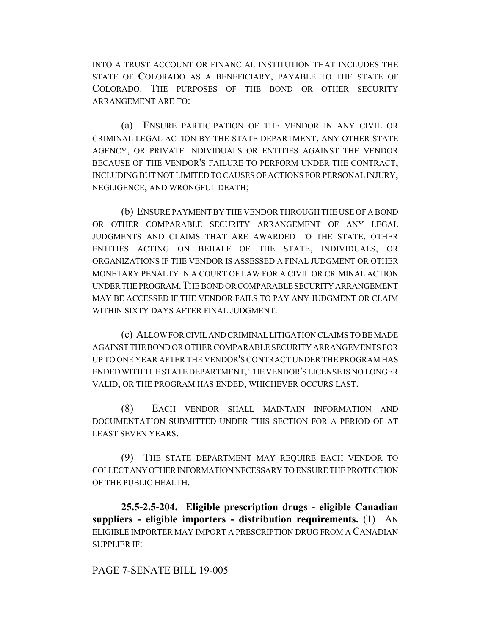INTO A TRUST ACCOUNT OR FINANCIAL INSTITUTION THAT INCLUDES THE STATE OF COLORADO AS A BENEFICIARY, PAYABLE TO THE STATE OF COLORADO. THE PURPOSES OF THE BOND OR OTHER SECURITY ARRANGEMENT ARE TO:

(a) ENSURE PARTICIPATION OF THE VENDOR IN ANY CIVIL OR CRIMINAL LEGAL ACTION BY THE STATE DEPARTMENT, ANY OTHER STATE AGENCY, OR PRIVATE INDIVIDUALS OR ENTITIES AGAINST THE VENDOR BECAUSE OF THE VENDOR'S FAILURE TO PERFORM UNDER THE CONTRACT, INCLUDING BUT NOT LIMITED TO CAUSES OF ACTIONS FOR PERSONAL INJURY, NEGLIGENCE, AND WRONGFUL DEATH;

(b) ENSURE PAYMENT BY THE VENDOR THROUGH THE USE OF A BOND OR OTHER COMPARABLE SECURITY ARRANGEMENT OF ANY LEGAL JUDGMENTS AND CLAIMS THAT ARE AWARDED TO THE STATE, OTHER ENTITIES ACTING ON BEHALF OF THE STATE, INDIVIDUALS, OR ORGANIZATIONS IF THE VENDOR IS ASSESSED A FINAL JUDGMENT OR OTHER MONETARY PENALTY IN A COURT OF LAW FOR A CIVIL OR CRIMINAL ACTION UNDER THE PROGRAM.THE BOND OR COMPARABLE SECURITY ARRANGEMENT MAY BE ACCESSED IF THE VENDOR FAILS TO PAY ANY JUDGMENT OR CLAIM WITHIN SIXTY DAYS AFTER FINAL JUDGMENT.

(c) ALLOW FOR CIVIL AND CRIMINAL LITIGATION CLAIMS TO BE MADE AGAINST THE BOND OR OTHER COMPARABLE SECURITY ARRANGEMENTS FOR UP TO ONE YEAR AFTER THE VENDOR'S CONTRACT UNDER THE PROGRAM HAS ENDED WITH THE STATE DEPARTMENT, THE VENDOR'S LICENSE IS NO LONGER VALID, OR THE PROGRAM HAS ENDED, WHICHEVER OCCURS LAST.

(8) EACH VENDOR SHALL MAINTAIN INFORMATION AND DOCUMENTATION SUBMITTED UNDER THIS SECTION FOR A PERIOD OF AT LEAST SEVEN YEARS.

(9) THE STATE DEPARTMENT MAY REQUIRE EACH VENDOR TO COLLECT ANY OTHER INFORMATION NECESSARY TO ENSURE THE PROTECTION OF THE PUBLIC HEALTH.

**25.5-2.5-204. Eligible prescription drugs - eligible Canadian suppliers - eligible importers - distribution requirements.** (1) AN ELIGIBLE IMPORTER MAY IMPORT A PRESCRIPTION DRUG FROM A CANADIAN SUPPLIER IF:

PAGE 7-SENATE BILL 19-005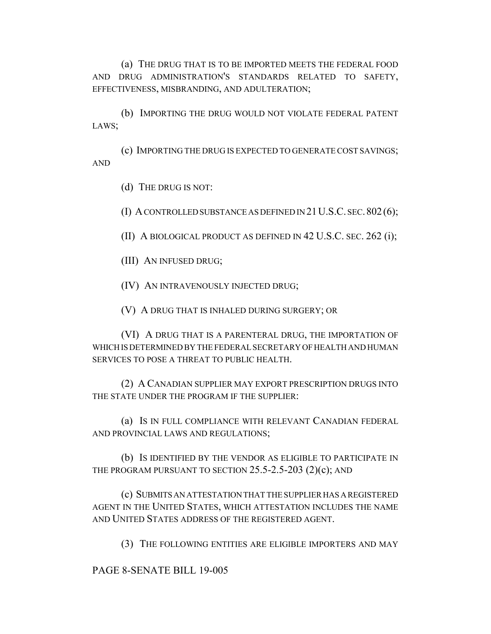(a) THE DRUG THAT IS TO BE IMPORTED MEETS THE FEDERAL FOOD AND DRUG ADMINISTRATION'S STANDARDS RELATED TO SAFETY, EFFECTIVENESS, MISBRANDING, AND ADULTERATION;

(b) IMPORTING THE DRUG WOULD NOT VIOLATE FEDERAL PATENT LAWS;

(c) IMPORTING THE DRUG IS EXPECTED TO GENERATE COST SAVINGS; AND

(d) THE DRUG IS NOT:

(I) A CONTROLLED SUBSTANCE AS DEFINED IN 21U.S.C. SEC.802(6);

(II) A BIOLOGICAL PRODUCT AS DEFINED IN 42 U.S.C. SEC. 262 (i);

(III) AN INFUSED DRUG;

(IV) AN INTRAVENOUSLY INJECTED DRUG;

(V) A DRUG THAT IS INHALED DURING SURGERY; OR

(VI) A DRUG THAT IS A PARENTERAL DRUG, THE IMPORTATION OF WHICH IS DETERMINED BY THE FEDERAL SECRETARY OF HEALTH AND HUMAN SERVICES TO POSE A THREAT TO PUBLIC HEALTH.

(2) A CANADIAN SUPPLIER MAY EXPORT PRESCRIPTION DRUGS INTO THE STATE UNDER THE PROGRAM IF THE SUPPLIER:

(a) IS IN FULL COMPLIANCE WITH RELEVANT CANADIAN FEDERAL AND PROVINCIAL LAWS AND REGULATIONS;

(b) IS IDENTIFIED BY THE VENDOR AS ELIGIBLE TO PARTICIPATE IN THE PROGRAM PURSUANT TO SECTION  $25.5$ - $2.5$ - $203$   $(2)(c)$ ; AND

(c) SUBMITS AN ATTESTATION THAT THE SUPPLIER HAS A REGISTERED AGENT IN THE UNITED STATES, WHICH ATTESTATION INCLUDES THE NAME AND UNITED STATES ADDRESS OF THE REGISTERED AGENT.

(3) THE FOLLOWING ENTITIES ARE ELIGIBLE IMPORTERS AND MAY

PAGE 8-SENATE BILL 19-005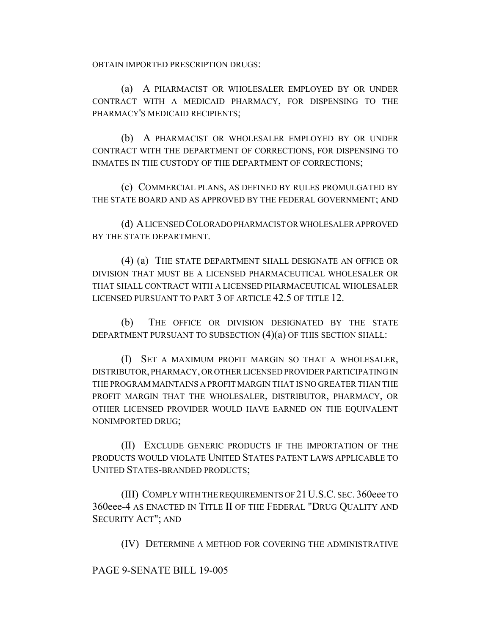OBTAIN IMPORTED PRESCRIPTION DRUGS:

(a) A PHARMACIST OR WHOLESALER EMPLOYED BY OR UNDER CONTRACT WITH A MEDICAID PHARMACY, FOR DISPENSING TO THE PHARMACY'S MEDICAID RECIPIENTS;

(b) A PHARMACIST OR WHOLESALER EMPLOYED BY OR UNDER CONTRACT WITH THE DEPARTMENT OF CORRECTIONS, FOR DISPENSING TO INMATES IN THE CUSTODY OF THE DEPARTMENT OF CORRECTIONS;

(c) COMMERCIAL PLANS, AS DEFINED BY RULES PROMULGATED BY THE STATE BOARD AND AS APPROVED BY THE FEDERAL GOVERNMENT; AND

(d) A LICENSED COLORADO PHARMACIST OR WHOLESALER APPROVED BY THE STATE DEPARTMENT.

(4) (a) THE STATE DEPARTMENT SHALL DESIGNATE AN OFFICE OR DIVISION THAT MUST BE A LICENSED PHARMACEUTICAL WHOLESALER OR THAT SHALL CONTRACT WITH A LICENSED PHARMACEUTICAL WHOLESALER LICENSED PURSUANT TO PART 3 OF ARTICLE 42.5 OF TITLE 12.

(b) THE OFFICE OR DIVISION DESIGNATED BY THE STATE DEPARTMENT PURSUANT TO SUBSECTION (4)(a) OF THIS SECTION SHALL:

(I) SET A MAXIMUM PROFIT MARGIN SO THAT A WHOLESALER, DISTRIBUTOR, PHARMACY, OR OTHER LICENSED PROVIDER PARTICIPATING IN THE PROGRAM MAINTAINS A PROFIT MARGIN THAT IS NO GREATER THAN THE PROFIT MARGIN THAT THE WHOLESALER, DISTRIBUTOR, PHARMACY, OR OTHER LICENSED PROVIDER WOULD HAVE EARNED ON THE EQUIVALENT NONIMPORTED DRUG;

(II) EXCLUDE GENERIC PRODUCTS IF THE IMPORTATION OF THE PRODUCTS WOULD VIOLATE UNITED STATES PATENT LAWS APPLICABLE TO UNITED STATES-BRANDED PRODUCTS;

(III) COMPLY WITH THE REQUIREMENTS OF 21U.S.C. SEC. 360eee TO 360eee-4 AS ENACTED IN TITLE II OF THE FEDERAL "DRUG QUALITY AND SECURITY ACT"; AND

(IV) DETERMINE A METHOD FOR COVERING THE ADMINISTRATIVE

## PAGE 9-SENATE BILL 19-005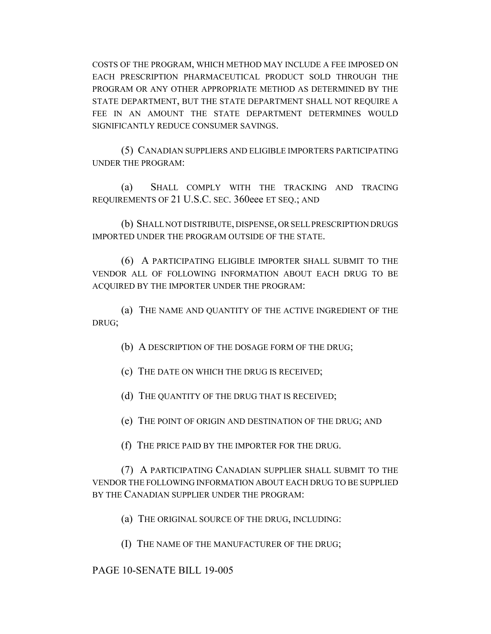COSTS OF THE PROGRAM, WHICH METHOD MAY INCLUDE A FEE IMPOSED ON EACH PRESCRIPTION PHARMACEUTICAL PRODUCT SOLD THROUGH THE PROGRAM OR ANY OTHER APPROPRIATE METHOD AS DETERMINED BY THE STATE DEPARTMENT, BUT THE STATE DEPARTMENT SHALL NOT REQUIRE A FEE IN AN AMOUNT THE STATE DEPARTMENT DETERMINES WOULD SIGNIFICANTLY REDUCE CONSUMER SAVINGS.

(5) CANADIAN SUPPLIERS AND ELIGIBLE IMPORTERS PARTICIPATING UNDER THE PROGRAM:

(a) SHALL COMPLY WITH THE TRACKING AND TRACING REQUIREMENTS OF 21 U.S.C. SEC. 360eee ET SEQ.; AND

(b) SHALL NOT DISTRIBUTE, DISPENSE, OR SELL PRESCRIPTION DRUGS IMPORTED UNDER THE PROGRAM OUTSIDE OF THE STATE.

(6) A PARTICIPATING ELIGIBLE IMPORTER SHALL SUBMIT TO THE VENDOR ALL OF FOLLOWING INFORMATION ABOUT EACH DRUG TO BE ACQUIRED BY THE IMPORTER UNDER THE PROGRAM:

(a) THE NAME AND QUANTITY OF THE ACTIVE INGREDIENT OF THE DRUG;

(b) A DESCRIPTION OF THE DOSAGE FORM OF THE DRUG;

(c) THE DATE ON WHICH THE DRUG IS RECEIVED;

(d) THE QUANTITY OF THE DRUG THAT IS RECEIVED;

(e) THE POINT OF ORIGIN AND DESTINATION OF THE DRUG; AND

(f) THE PRICE PAID BY THE IMPORTER FOR THE DRUG.

(7) A PARTICIPATING CANADIAN SUPPLIER SHALL SUBMIT TO THE VENDOR THE FOLLOWING INFORMATION ABOUT EACH DRUG TO BE SUPPLIED BY THE CANADIAN SUPPLIER UNDER THE PROGRAM:

(a) THE ORIGINAL SOURCE OF THE DRUG, INCLUDING:

(I) THE NAME OF THE MANUFACTURER OF THE DRUG;

## PAGE 10-SENATE BILL 19-005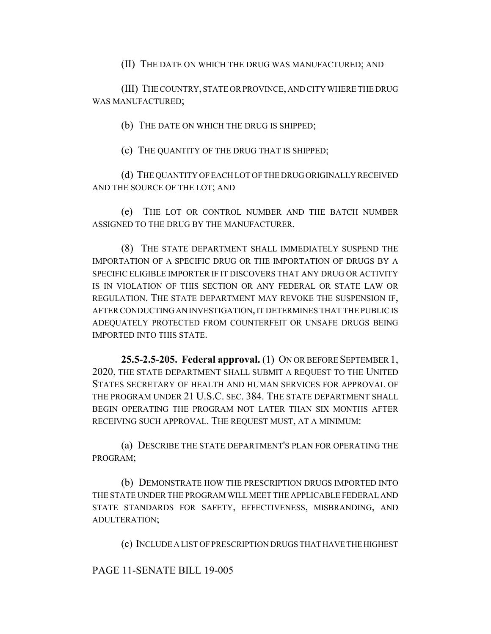(II) THE DATE ON WHICH THE DRUG WAS MANUFACTURED; AND

(III) THE COUNTRY, STATE OR PROVINCE, AND CITY WHERE THE DRUG WAS MANUFACTURED;

(b) THE DATE ON WHICH THE DRUG IS SHIPPED;

(c) THE QUANTITY OF THE DRUG THAT IS SHIPPED;

(d) THE QUANTITY OF EACH LOT OF THE DRUG ORIGINALLY RECEIVED AND THE SOURCE OF THE LOT; AND

(e) THE LOT OR CONTROL NUMBER AND THE BATCH NUMBER ASSIGNED TO THE DRUG BY THE MANUFACTURER.

(8) THE STATE DEPARTMENT SHALL IMMEDIATELY SUSPEND THE IMPORTATION OF A SPECIFIC DRUG OR THE IMPORTATION OF DRUGS BY A SPECIFIC ELIGIBLE IMPORTER IF IT DISCOVERS THAT ANY DRUG OR ACTIVITY IS IN VIOLATION OF THIS SECTION OR ANY FEDERAL OR STATE LAW OR REGULATION. THE STATE DEPARTMENT MAY REVOKE THE SUSPENSION IF, AFTER CONDUCTING AN INVESTIGATION, IT DETERMINES THAT THE PUBLIC IS ADEQUATELY PROTECTED FROM COUNTERFEIT OR UNSAFE DRUGS BEING IMPORTED INTO THIS STATE.

**25.5-2.5-205. Federal approval.** (1) ON OR BEFORE SEPTEMBER 1, 2020, THE STATE DEPARTMENT SHALL SUBMIT A REQUEST TO THE UNITED STATES SECRETARY OF HEALTH AND HUMAN SERVICES FOR APPROVAL OF THE PROGRAM UNDER 21 U.S.C. SEC. 384. THE STATE DEPARTMENT SHALL BEGIN OPERATING THE PROGRAM NOT LATER THAN SIX MONTHS AFTER RECEIVING SUCH APPROVAL. THE REQUEST MUST, AT A MINIMUM:

(a) DESCRIBE THE STATE DEPARTMENT'S PLAN FOR OPERATING THE PROGRAM;

(b) DEMONSTRATE HOW THE PRESCRIPTION DRUGS IMPORTED INTO THE STATE UNDER THE PROGRAM WILL MEET THE APPLICABLE FEDERAL AND STATE STANDARDS FOR SAFETY, EFFECTIVENESS, MISBRANDING, AND ADULTERATION;

(c) INCLUDE A LIST OF PRESCRIPTION DRUGS THAT HAVE THE HIGHEST

PAGE 11-SENATE BILL 19-005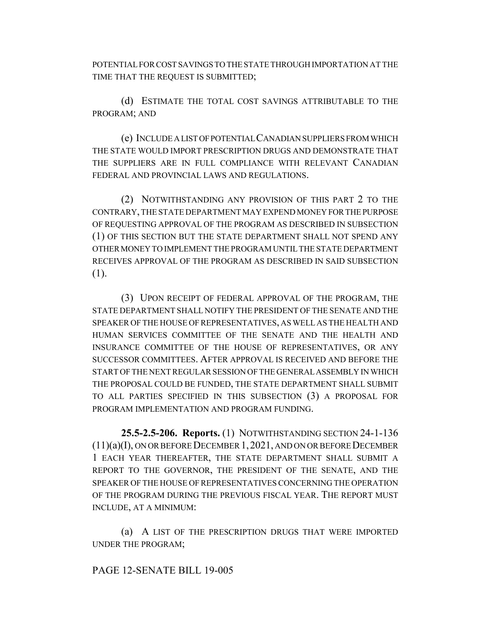POTENTIAL FOR COST SAVINGS TO THE STATE THROUGH IMPORTATION AT THE TIME THAT THE REQUEST IS SUBMITTED;

(d) ESTIMATE THE TOTAL COST SAVINGS ATTRIBUTABLE TO THE PROGRAM; AND

(e) INCLUDE A LIST OF POTENTIAL CANADIAN SUPPLIERS FROM WHICH THE STATE WOULD IMPORT PRESCRIPTION DRUGS AND DEMONSTRATE THAT THE SUPPLIERS ARE IN FULL COMPLIANCE WITH RELEVANT CANADIAN FEDERAL AND PROVINCIAL LAWS AND REGULATIONS.

(2) NOTWITHSTANDING ANY PROVISION OF THIS PART 2 TO THE CONTRARY, THE STATE DEPARTMENT MAY EXPEND MONEY FOR THE PURPOSE OF REQUESTING APPROVAL OF THE PROGRAM AS DESCRIBED IN SUBSECTION (1) OF THIS SECTION BUT THE STATE DEPARTMENT SHALL NOT SPEND ANY OTHER MONEY TO IMPLEMENT THE PROGRAM UNTIL THE STATE DEPARTMENT RECEIVES APPROVAL OF THE PROGRAM AS DESCRIBED IN SAID SUBSECTION (1).

(3) UPON RECEIPT OF FEDERAL APPROVAL OF THE PROGRAM, THE STATE DEPARTMENT SHALL NOTIFY THE PRESIDENT OF THE SENATE AND THE SPEAKER OF THE HOUSE OF REPRESENTATIVES, AS WELL AS THE HEALTH AND HUMAN SERVICES COMMITTEE OF THE SENATE AND THE HEALTH AND INSURANCE COMMITTEE OF THE HOUSE OF REPRESENTATIVES, OR ANY SUCCESSOR COMMITTEES. AFTER APPROVAL IS RECEIVED AND BEFORE THE START OF THE NEXT REGULAR SESSION OF THE GENERAL ASSEMBLY IN WHICH THE PROPOSAL COULD BE FUNDED, THE STATE DEPARTMENT SHALL SUBMIT TO ALL PARTIES SPECIFIED IN THIS SUBSECTION (3) A PROPOSAL FOR PROGRAM IMPLEMENTATION AND PROGRAM FUNDING.

**25.5-2.5-206. Reports.** (1) NOTWITHSTANDING SECTION 24-1-136 (11)(a)(I), ON OR BEFORE DECEMBER 1,2021, AND ON OR BEFORE DECEMBER 1 EACH YEAR THEREAFTER, THE STATE DEPARTMENT SHALL SUBMIT A REPORT TO THE GOVERNOR, THE PRESIDENT OF THE SENATE, AND THE SPEAKER OF THE HOUSE OF REPRESENTATIVES CONCERNING THE OPERATION OF THE PROGRAM DURING THE PREVIOUS FISCAL YEAR. THE REPORT MUST INCLUDE, AT A MINIMUM:

(a) A LIST OF THE PRESCRIPTION DRUGS THAT WERE IMPORTED UNDER THE PROGRAM;

### PAGE 12-SENATE BILL 19-005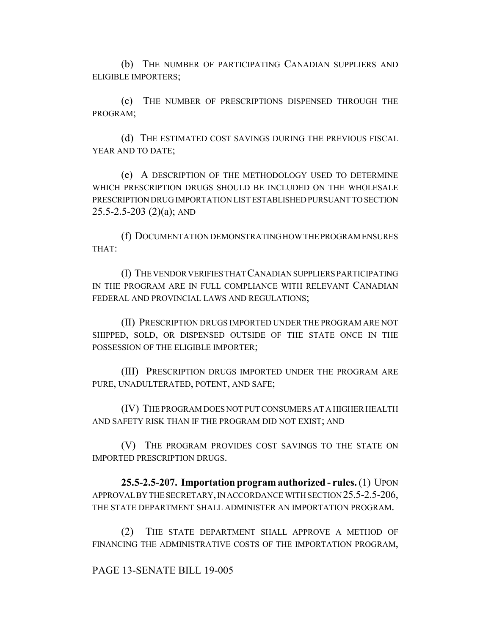(b) THE NUMBER OF PARTICIPATING CANADIAN SUPPLIERS AND ELIGIBLE IMPORTERS;

(c) THE NUMBER OF PRESCRIPTIONS DISPENSED THROUGH THE PROGRAM;

(d) THE ESTIMATED COST SAVINGS DURING THE PREVIOUS FISCAL YEAR AND TO DATE;

(e) A DESCRIPTION OF THE METHODOLOGY USED TO DETERMINE WHICH PRESCRIPTION DRUGS SHOULD BE INCLUDED ON THE WHOLESALE PRESCRIPTION DRUG IMPORTATION LIST ESTABLISHED PURSUANT TO SECTION  $25.5 - 2.5 - 203$  (2)(a); AND

(f) DOCUMENTATION DEMONSTRATING HOW THE PROGRAM ENSURES THAT:

(I) THE VENDOR VERIFIES THAT CANADIAN SUPPLIERS PARTICIPATING IN THE PROGRAM ARE IN FULL COMPLIANCE WITH RELEVANT CANADIAN FEDERAL AND PROVINCIAL LAWS AND REGULATIONS;

(II) PRESCRIPTION DRUGS IMPORTED UNDER THE PROGRAM ARE NOT SHIPPED, SOLD, OR DISPENSED OUTSIDE OF THE STATE ONCE IN THE POSSESSION OF THE ELIGIBLE IMPORTER;

(III) PRESCRIPTION DRUGS IMPORTED UNDER THE PROGRAM ARE PURE, UNADULTERATED, POTENT, AND SAFE;

(IV) THE PROGRAM DOES NOT PUT CONSUMERS AT A HIGHER HEALTH AND SAFETY RISK THAN IF THE PROGRAM DID NOT EXIST; AND

(V) THE PROGRAM PROVIDES COST SAVINGS TO THE STATE ON IMPORTED PRESCRIPTION DRUGS.

**25.5-2.5-207. Importation program authorized - rules.** (1) UPON APPROVAL BY THE SECRETARY, IN ACCORDANCE WITH SECTION 25.5-2.5-206, THE STATE DEPARTMENT SHALL ADMINISTER AN IMPORTATION PROGRAM.

(2) THE STATE DEPARTMENT SHALL APPROVE A METHOD OF FINANCING THE ADMINISTRATIVE COSTS OF THE IMPORTATION PROGRAM,

### PAGE 13-SENATE BILL 19-005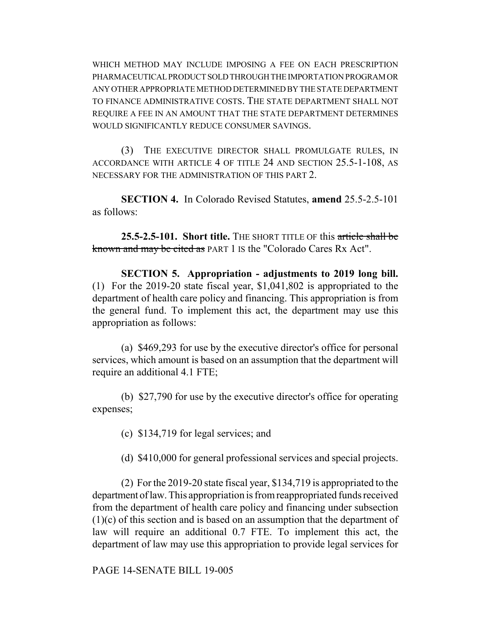WHICH METHOD MAY INCLUDE IMPOSING A FEE ON EACH PRESCRIPTION PHARMACEUTICAL PRODUCT SOLD THROUGH THE IMPORTATION PROGRAM OR ANY OTHER APPROPRIATE METHOD DETERMINED BY THE STATE DEPARTMENT TO FINANCE ADMINISTRATIVE COSTS. THE STATE DEPARTMENT SHALL NOT REQUIRE A FEE IN AN AMOUNT THAT THE STATE DEPARTMENT DETERMINES WOULD SIGNIFICANTLY REDUCE CONSUMER SAVINGS.

(3) THE EXECUTIVE DIRECTOR SHALL PROMULGATE RULES, IN ACCORDANCE WITH ARTICLE 4 OF TITLE 24 AND SECTION 25.5-1-108, AS NECESSARY FOR THE ADMINISTRATION OF THIS PART 2.

**SECTION 4.** In Colorado Revised Statutes, **amend** 25.5-2.5-101 as follows:

**25.5-2.5-101. Short title.** THE SHORT TITLE OF this article shall be known and may be cited as PART 1 IS the "Colorado Cares Rx Act".

**SECTION 5. Appropriation - adjustments to 2019 long bill.** (1) For the 2019-20 state fiscal year, \$1,041,802 is appropriated to the department of health care policy and financing. This appropriation is from the general fund. To implement this act, the department may use this appropriation as follows:

(a) \$469,293 for use by the executive director's office for personal services, which amount is based on an assumption that the department will require an additional 4.1 FTE;

(b) \$27,790 for use by the executive director's office for operating expenses;

(c) \$134,719 for legal services; and

(d) \$410,000 for general professional services and special projects.

(2) For the 2019-20 state fiscal year, \$134,719 is appropriated to the department of law. This appropriation is from reappropriated funds received from the department of health care policy and financing under subsection (1)(c) of this section and is based on an assumption that the department of law will require an additional 0.7 FTE. To implement this act, the department of law may use this appropriation to provide legal services for

PAGE 14-SENATE BILL 19-005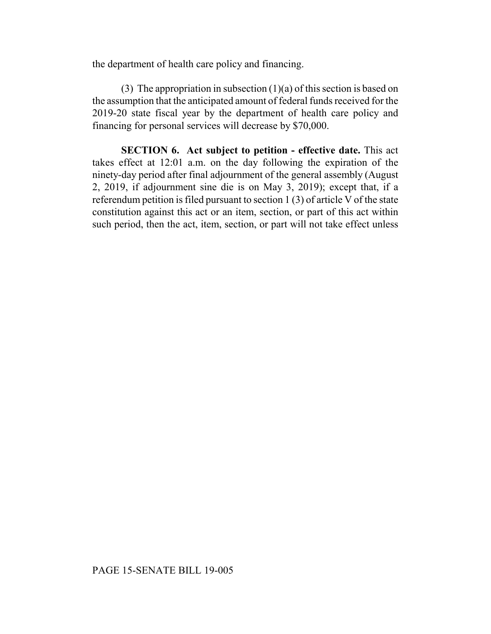the department of health care policy and financing.

(3) The appropriation in subsection  $(1)(a)$  of this section is based on the assumption that the anticipated amount of federal funds received for the 2019-20 state fiscal year by the department of health care policy and financing for personal services will decrease by \$70,000.

**SECTION 6. Act subject to petition - effective date.** This act takes effect at 12:01 a.m. on the day following the expiration of the ninety-day period after final adjournment of the general assembly (August 2, 2019, if adjournment sine die is on May 3, 2019); except that, if a referendum petition is filed pursuant to section 1 (3) of article V of the state constitution against this act or an item, section, or part of this act within such period, then the act, item, section, or part will not take effect unless